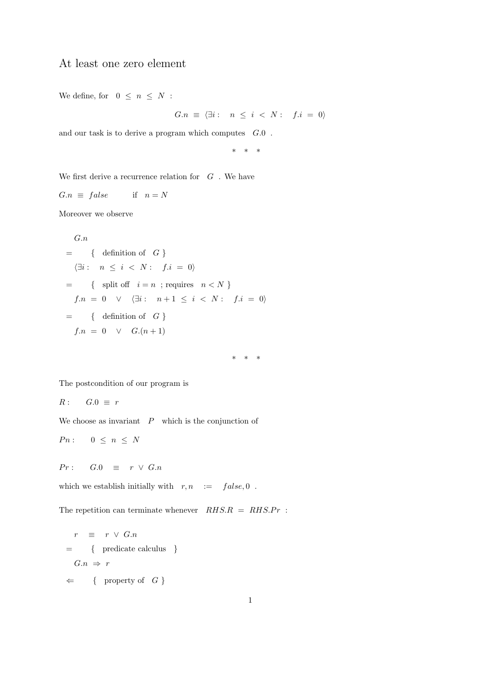## At least one zero element

We define, for  $0 \leq n \leq N$ :

$$
G.n \equiv \langle \exists i : n \le i < N : f.i = 0 \rangle
$$

and our task is to derive a program which computes G.0 .

\* \* \*

We first derive a recurrence relation for  $\,G\,$  . We have

 $G.n \equiv false$  if  $n = N$ 

Moreover we observe

$$
G.n = \{ \text{ definition of } G \}
$$
  
= { $\langle \exists i : n \le i < N : f.i = 0 \rangle$   
= { split off  $i = n ; \text{ requires } n < N \}$   
 $f.n = 0 \lor \langle \exists i : n+1 \le i < N : f.i = 0 \rangle$   
= { definition of  $G \}$   
 $f.n = 0 \lor G.(n+1)$ 

\* \* \*

The postcondition of our program is

$$
R: \quad G.0 \equiv r
$$

We choose as invariant  $\mathbb P$  which is the conjunction of

$$
Pn: \qquad 0 \ \leq \ n \ \leq \ N
$$

$$
Pr: \qquad G.0 \quad \equiv \quad r \ \lor \ G.n
$$

which we establish initially with  $r, n$  :=  $false, 0$ .

The repetition can terminate whenever  $RHS.R = RHS.Pr$ :

$$
r \equiv r \lor G.n
$$
  
= { predicate calculus }  

$$
G.n \Rightarrow r
$$
  

$$
\Leftarrow { property of G}
$$